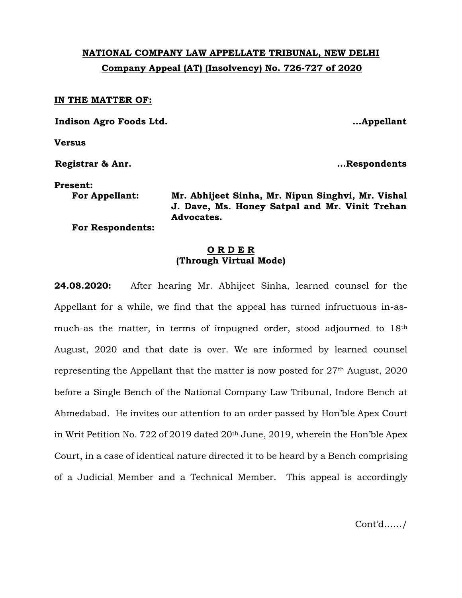# **NATIONAL COMPANY LAW APPELLATE TRIBUNAL, NEW DELHI Company Appeal (AT) (Insolvency) No. 726-727 of 2020**

#### **IN THE MATTER OF:**

**Indison Agro Foods Ltd. …Appellant**

**Versus**

**Registrar & Anr. …Respondents**

#### **Present:**

**For Appellant: Mr. Abhijeet Sinha, Mr. Nipun Singhvi, Mr. Vishal J. Dave, Ms. Honey Satpal and Mr. Vinit Trehan Advocates.**

**For Respondents:** 

### **O R D E R (Through Virtual Mode)**

**24.08.2020:** After hearing Mr. Abhijeet Sinha, learned counsel for the Appellant for a while, we find that the appeal has turned infructuous in-asmuch-as the matter, in terms of impugned order, stood adjourned to 18th August, 2020 and that date is over. We are informed by learned counsel representing the Appellant that the matter is now posted for 27th August, 2020 before a Single Bench of the National Company Law Tribunal, Indore Bench at Ahmedabad. He invites our attention to an order passed by Hon'ble Apex Court in Writ Petition No. 722 of 2019 dated 20th June, 2019, wherein the Hon'ble Apex Court, in a case of identical nature directed it to be heard by a Bench comprising of a Judicial Member and a Technical Member. This appeal is accordingly

Cont'd……/